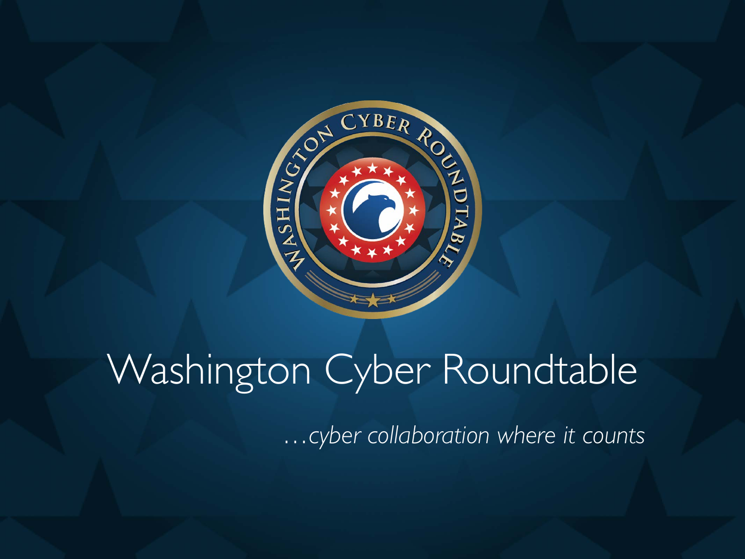

## Washington Cyber Roundtable

*…cyber collaboration where it counts*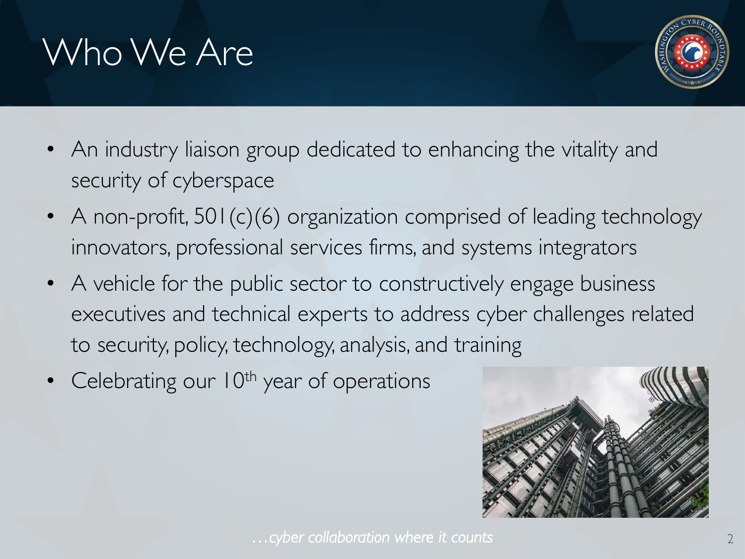## Who We Are



- An industry liaison group dedicated to enhancing the vitality and security of cyberspace
- A non-profit,  $501(c)(6)$  organization comprised of leading technology innovators, professional services firms, and systems integrators
- A vehicle for the public sector to constructively engage business executives and technical experts to address cyber challenges related to security, policy, technology, analysis, and training
- Celebrating our  $10^{th}$  year of operations

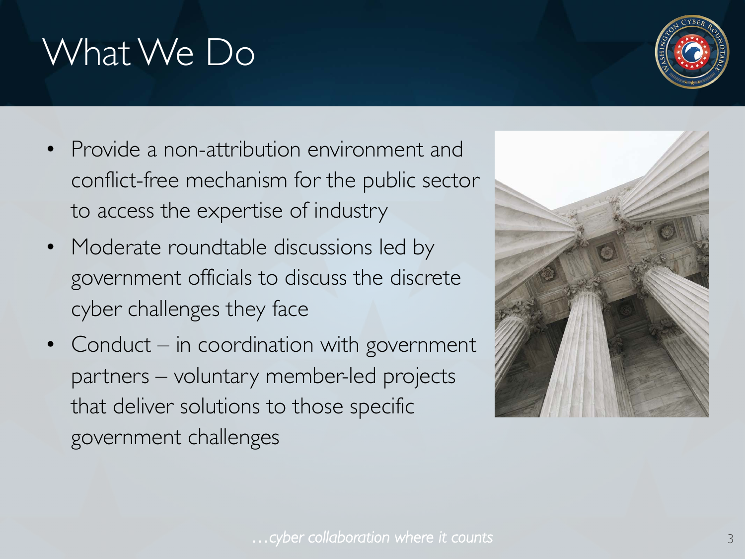#### *…cyber collaboration where it counts* 3

### What We Do

- Provide a non-attribution environment and conflict-free mechanism for the public sector to access the expertise of industry
- Moderate roundtable discussions led by government officials to discuss the discrete cyber challenges they face
- Conduct in coordination with government partners – voluntary member-led projects that deliver solutions to those specific government challenges



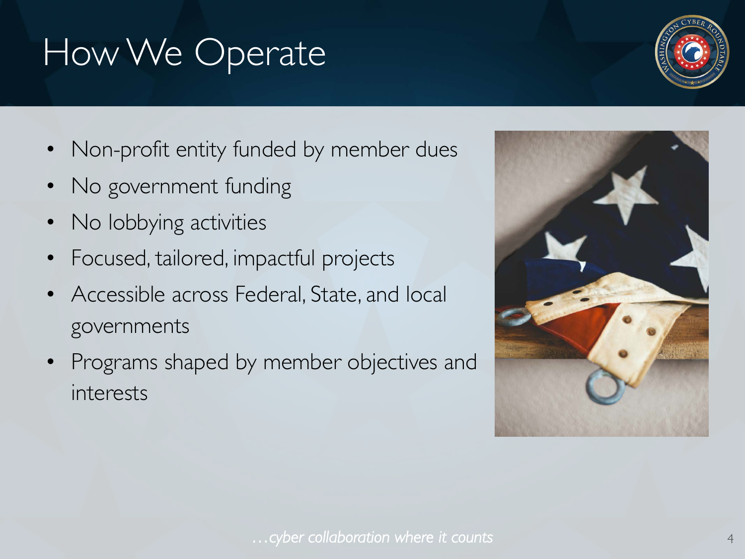## How We Operate

- Non-profit entity funded by member dues
- No government funding
- No lobbying activities
- Focused, tailored, impactful projects
- Accessible across Federal, State, and local governments
- Programs shaped by member objectives and interests



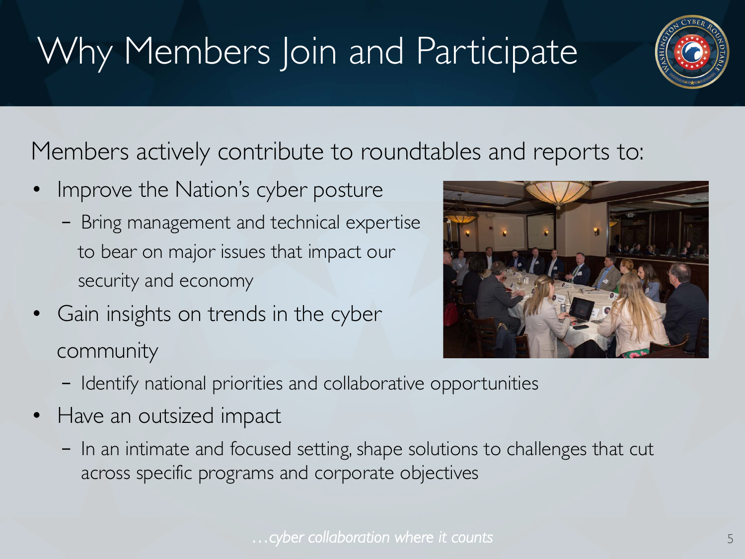## Why Members Join and Participate



Members actively contribute to roundtables and reports to:

- Improve the Nation's cyber posture
	- Bring management and technical expertise to bear on major issues that impact our security and economy
- Gain insights on trends in the cyber community



- Identify national priorities and collaborative opportunities
- Have an outsized impact
	- In an intimate and focused setting, shape solutions to challenges that cut across specific programs and corporate objectives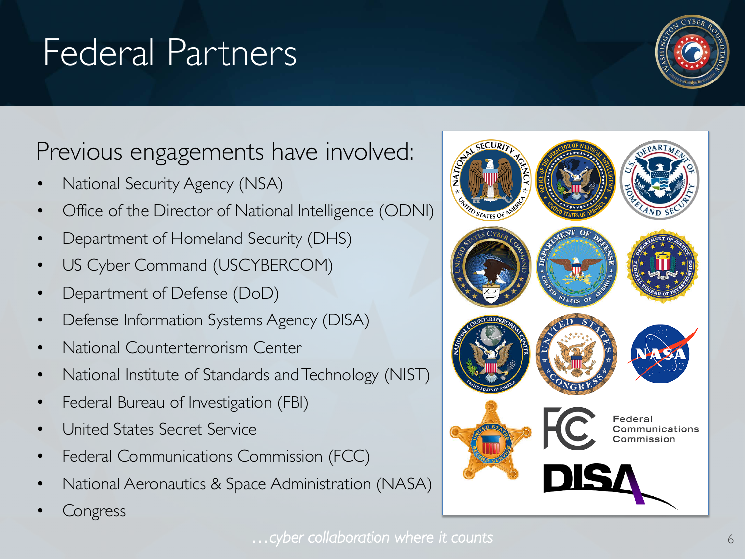### Previous engagements have involved:

• National Security Agency (NSA)

Federal Partners

- Office of the Director of National Intelligence (ODNI)
- Department of Homeland Security (DHS)
- US Cyber Command (USCYBERCOM)
- Department of Defense (DoD)
- Defense Information Systems Agency (DISA)
- National Counterterrorism Center
- National Institute of Standards and Technology (NIST)
- Federal Bureau of Investigation (FBI)
- United States Secret Service
- Federal Communications Commission (FCC)
- National Aeronautics & Space Administration (NASA)
- **Congress**





Communications

Commission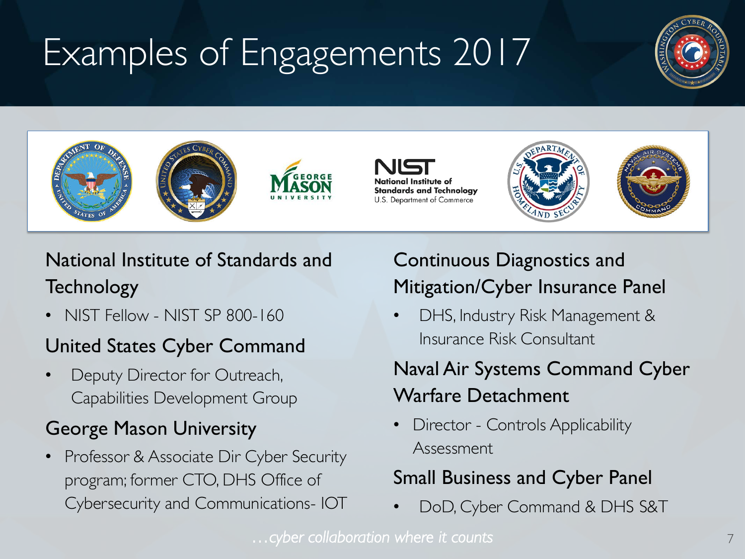# Examples of Engagements 2017











#### National Institute of Standards and **Technology**

• NIST Fellow - NIST SP 800-160

#### United States Cyber Command

Deputy Director for Outreach, Capabilities Development Group

#### George Mason University

Professor & Associate Dir Cyber Security program; former CTO, DHS Office of Cybersecurity and Communications- IOT

#### Continuous Diagnostics and Mitigation/Cyber Insurance Panel

DHS, Industry Risk Management & Insurance Risk Consultant

#### Naval Air Systems Command Cyber Warfare Detachment

• Director - Controls Applicability Assessment

#### Small Business and Cyber Panel

• DoD, Cyber Command & DHS S&T

*…cyber collaboration where it counts* 7